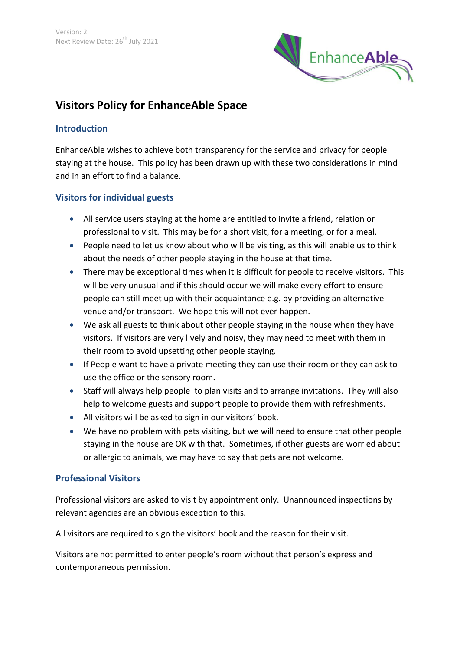

# **Visitors Policy for EnhanceAble Space**

#### **Introduction**

EnhanceAble wishes to achieve both transparency for the service and privacy for people staying at the house. This policy has been drawn up with these two considerations in mind and in an effort to find a balance.

## **Visitors for individual guests**

- All service users staying at the home are entitled to invite a friend, relation or professional to visit. This may be for a short visit, for a meeting, or for a meal.
- People need to let us know about who will be visiting, as this will enable us to think about the needs of other people staying in the house at that time.
- There may be exceptional times when it is difficult for people to receive visitors. This will be very unusual and if this should occur we will make every effort to ensure people can still meet up with their acquaintance e.g. by providing an alternative venue and/or transport. We hope this will not ever happen.
- We ask all guests to think about other people staying in the house when they have visitors. If visitors are very lively and noisy, they may need to meet with them in their room to avoid upsetting other people staying.
- If People want to have a private meeting they can use their room or they can ask to use the office or the sensory room.
- Staff will always help people to plan visits and to arrange invitations. They will also help to welcome guests and support people to provide them with refreshments.
- All visitors will be asked to sign in our visitors' book.
- We have no problem with pets visiting, but we will need to ensure that other people staying in the house are OK with that. Sometimes, if other guests are worried about or allergic to animals, we may have to say that pets are not welcome.

## **Professional Visitors**

Professional visitors are asked to visit by appointment only. Unannounced inspections by relevant agencies are an obvious exception to this.

All visitors are required to sign the visitors' book and the reason for their visit.

Visitors are not permitted to enter people's room without that person's express and contemporaneous permission.